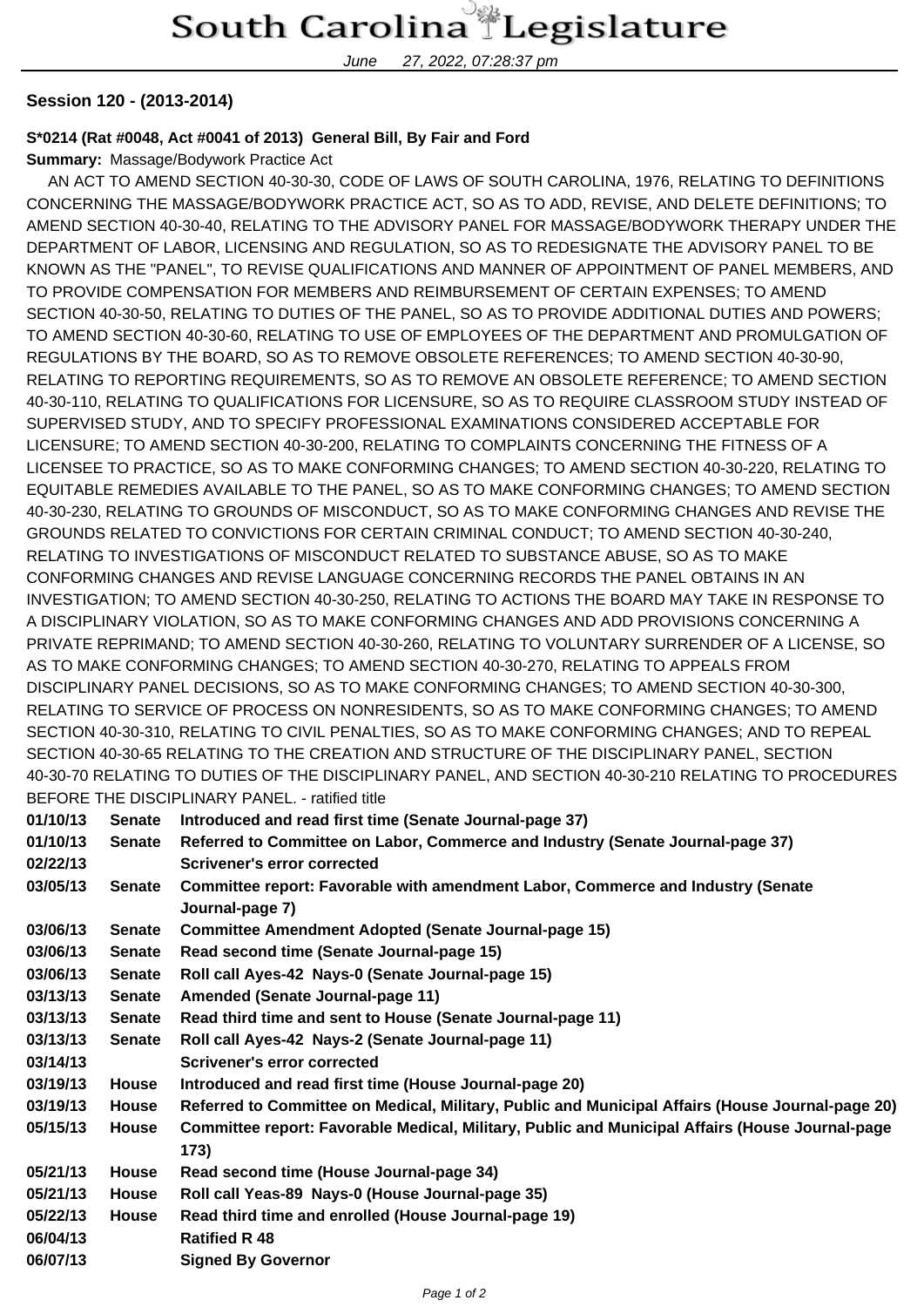## South Carolina Legislature

June 27, 2022, 07:28:37 pm

## **Session 120 - (2013-2014)**

## **S\*0214 (Rat #0048, Act #0041 of 2013) General Bill, By Fair and Ford**

**Summary:** Massage/Bodywork Practice Act

 AN ACT TO AMEND SECTION 40-30-30, CODE OF LAWS OF SOUTH CAROLINA, 1976, RELATING TO DEFINITIONS CONCERNING THE MASSAGE/BODYWORK PRACTICE ACT, SO AS TO ADD, REVISE, AND DELETE DEFINITIONS; TO AMEND SECTION 40-30-40, RELATING TO THE ADVISORY PANEL FOR MASSAGE/BODYWORK THERAPY UNDER THE DEPARTMENT OF LABOR, LICENSING AND REGULATION, SO AS TO REDESIGNATE THE ADVISORY PANEL TO BE KNOWN AS THE "PANEL", TO REVISE QUALIFICATIONS AND MANNER OF APPOINTMENT OF PANEL MEMBERS, AND TO PROVIDE COMPENSATION FOR MEMBERS AND REIMBURSEMENT OF CERTAIN EXPENSES; TO AMEND SECTION 40-30-50, RELATING TO DUTIES OF THE PANEL, SO AS TO PROVIDE ADDITIONAL DUTIES AND POWERS; TO AMEND SECTION 40-30-60, RELATING TO USE OF EMPLOYEES OF THE DEPARTMENT AND PROMULGATION OF REGULATIONS BY THE BOARD, SO AS TO REMOVE OBSOLETE REFERENCES; TO AMEND SECTION 40-30-90, RELATING TO REPORTING REQUIREMENTS, SO AS TO REMOVE AN OBSOLETE REFERENCE; TO AMEND SECTION 40-30-110, RELATING TO QUALIFICATIONS FOR LICENSURE, SO AS TO REQUIRE CLASSROOM STUDY INSTEAD OF SUPERVISED STUDY, AND TO SPECIFY PROFESSIONAL EXAMINATIONS CONSIDERED ACCEPTABLE FOR LICENSURE; TO AMEND SECTION 40-30-200, RELATING TO COMPLAINTS CONCERNING THE FITNESS OF A LICENSEE TO PRACTICE, SO AS TO MAKE CONFORMING CHANGES; TO AMEND SECTION 40-30-220, RELATING TO EQUITABLE REMEDIES AVAILABLE TO THE PANEL, SO AS TO MAKE CONFORMING CHANGES; TO AMEND SECTION 40-30-230, RELATING TO GROUNDS OF MISCONDUCT, SO AS TO MAKE CONFORMING CHANGES AND REVISE THE GROUNDS RELATED TO CONVICTIONS FOR CERTAIN CRIMINAL CONDUCT; TO AMEND SECTION 40-30-240, RELATING TO INVESTIGATIONS OF MISCONDUCT RELATED TO SUBSTANCE ABUSE, SO AS TO MAKE CONFORMING CHANGES AND REVISE LANGUAGE CONCERNING RECORDS THE PANEL OBTAINS IN AN INVESTIGATION; TO AMEND SECTION 40-30-250, RELATING TO ACTIONS THE BOARD MAY TAKE IN RESPONSE TO A DISCIPLINARY VIOLATION, SO AS TO MAKE CONFORMING CHANGES AND ADD PROVISIONS CONCERNING A PRIVATE REPRIMAND; TO AMEND SECTION 40-30-260, RELATING TO VOLUNTARY SURRENDER OF A LICENSE, SO AS TO MAKE CONFORMING CHANGES; TO AMEND SECTION 40-30-270, RELATING TO APPEALS FROM DISCIPLINARY PANEL DECISIONS, SO AS TO MAKE CONFORMING CHANGES; TO AMEND SECTION 40-30-300, RELATING TO SERVICE OF PROCESS ON NONRESIDENTS, SO AS TO MAKE CONFORMING CHANGES; TO AMEND SECTION 40-30-310, RELATING TO CIVIL PENALTIES, SO AS TO MAKE CONFORMING CHANGES; AND TO REPEAL SECTION 40-30-65 RELATING TO THE CREATION AND STRUCTURE OF THE DISCIPLINARY PANEL, SECTION 40-30-70 RELATING TO DUTIES OF THE DISCIPLINARY PANEL, AND SECTION 40-30-210 RELATING TO PROCEDURES BEFORE THE DISCIPLINARY PANEL. - ratified title

| 01/10/13 | <b>Senate</b> | Introduced and read first time (Senate Journal-page 37)                                                 |
|----------|---------------|---------------------------------------------------------------------------------------------------------|
| 01/10/13 | <b>Senate</b> | Referred to Committee on Labor, Commerce and Industry (Senate Journal-page 37)                          |
| 02/22/13 |               | Scrivener's error corrected                                                                             |
| 03/05/13 | <b>Senate</b> | Committee report: Favorable with amendment Labor, Commerce and Industry (Senate<br>Journal-page 7)      |
| 03/06/13 | <b>Senate</b> | <b>Committee Amendment Adopted (Senate Journal-page 15)</b>                                             |
| 03/06/13 | <b>Senate</b> | Read second time (Senate Journal-page 15)                                                               |
| 03/06/13 | <b>Senate</b> | Roll call Ayes-42 Nays-0 (Senate Journal-page 15)                                                       |
| 03/13/13 | <b>Senate</b> | Amended (Senate Journal-page 11)                                                                        |
| 03/13/13 | <b>Senate</b> | Read third time and sent to House (Senate Journal-page 11)                                              |
| 03/13/13 | <b>Senate</b> | Roll call Ayes-42 Nays-2 (Senate Journal-page 11)                                                       |
| 03/14/13 |               | Scrivener's error corrected                                                                             |
| 03/19/13 | <b>House</b>  | Introduced and read first time (House Journal-page 20)                                                  |
| 03/19/13 | <b>House</b>  | Referred to Committee on Medical, Military, Public and Municipal Affairs (House Journal-page 20)        |
| 05/15/13 | <b>House</b>  | Committee report: Favorable Medical, Military, Public and Municipal Affairs (House Journal-page<br>173) |
| 05/21/13 | <b>House</b>  | Read second time (House Journal-page 34)                                                                |
| 05/21/13 | <b>House</b>  | Roll call Yeas-89 Nays-0 (House Journal-page 35)                                                        |
| 05/22/13 | <b>House</b>  | Read third time and enrolled (House Journal-page 19)                                                    |
| 06/04/13 |               | <b>Ratified R 48</b>                                                                                    |
| 06/07/13 |               | <b>Signed By Governor</b>                                                                               |